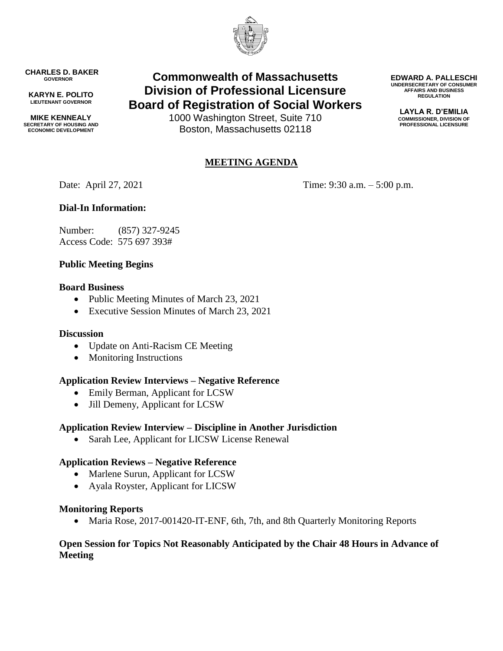

**CHARLES D. BAKER GOVERNOR**

**KARYN E. POLITO LIEUTENANT GOVERNOR**

**MIKE KENNEALY SECRETARY OF HOUSING AND ECONOMIC DEVELOPMENT**

# **Commonwealth of Massachusetts Division of Professional Licensure Board of Registration of Social Workers**

1000 Washington Street, Suite 710 Boston, Massachusetts 02118

## **MEETING AGENDA**

Date: April 27, 2021 Time: 9:30 a.m. – 5:00 p.m.

## **Dial-In Information:**

Number: (857) 327-9245 Access Code: 575 697 393#

## **Public Meeting Begins**

#### **Board Business**

- Public Meeting Minutes of March 23, 2021
- Executive Session Minutes of March 23, 2021

#### **Discussion**

- Update on Anti-Racism CE Meeting
- Monitoring Instructions

## **Application Review Interviews – Negative Reference**

- Emily Berman, Applicant for LCSW
- Jill Demeny, Applicant for LCSW

## **Application Review Interview – Discipline in Another Jurisdiction**

• Sarah Lee, Applicant for LICSW License Renewal

#### **Application Reviews – Negative Reference**

- Marlene Surun, Applicant for LCSW
- Ayala Royster, Applicant for LICSW

#### **Monitoring Reports**

• Maria Rose, 2017-001420-IT-ENF, 6th, 7th, and 8th Quarterly Monitoring Reports

#### **Open Session for Topics Not Reasonably Anticipated by the Chair 48 Hours in Advance of Meeting**

**EDWARD A. PALLESCHI UNDERSECRETARY OF CONSUMER AFFAIRS AND BUSINESS REGULATION**

> **LAYLA R. D'EMILIA COMMISSIONER, DIVISION OF PROFESSIONAL LICENSURE**